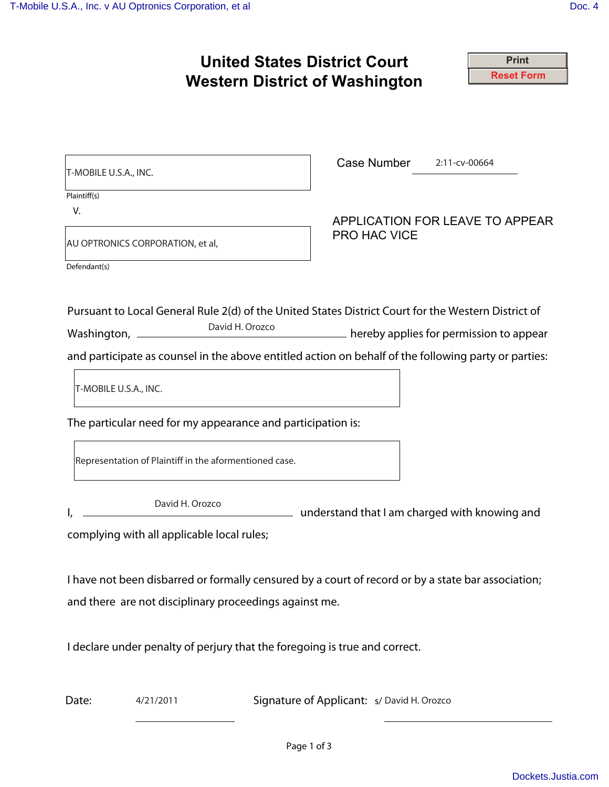|                                                                                                                                                | <b>United States District Court</b><br><b>Print</b>                                                                                                                                                                                                                       |
|------------------------------------------------------------------------------------------------------------------------------------------------|---------------------------------------------------------------------------------------------------------------------------------------------------------------------------------------------------------------------------------------------------------------------------|
|                                                                                                                                                | <b>Reset Form</b><br><b>Western District of Washington</b>                                                                                                                                                                                                                |
| T-MOBILE U.S.A., INC.                                                                                                                          | Case Number<br>$2:11$ -cv-00664                                                                                                                                                                                                                                           |
| Plaintiff(s)                                                                                                                                   |                                                                                                                                                                                                                                                                           |
| V.                                                                                                                                             | APPLICATION FOR LEAVE TO APPEAR                                                                                                                                                                                                                                           |
| AU OPTRONICS CORPORATION, et al,                                                                                                               | <b>PRO HAC VICE</b>                                                                                                                                                                                                                                                       |
| Defendant(s)                                                                                                                                   |                                                                                                                                                                                                                                                                           |
| T-MOBILE U.S.A., INC.<br>The particular need for my appearance and participation is:<br>Representation of Plaintiff in the aformentioned case. | Pursuant to Local General Rule 2(d) of the United States District Court for the Western District of<br>David H. Orozco<br>hereby applies for permission to appear<br>and participate as counsel in the above entitled action on behalf of the following party or parties: |
| David H. Orozco<br>complying with all applicable local rules;                                                                                  | dimensional divided and that I am charged with knowing and                                                                                                                                                                                                                |
| and there are not disciplinary proceedings against me.                                                                                         | I have not been disbarred or formally censured by a court of record or by a state bar association;<br>I declare under penalty of perjury that the foregoing is true and correct.                                                                                          |
| 4/21/2011<br>Date:                                                                                                                             | Signature of Applicant: s/ David H. Orozco                                                                                                                                                                                                                                |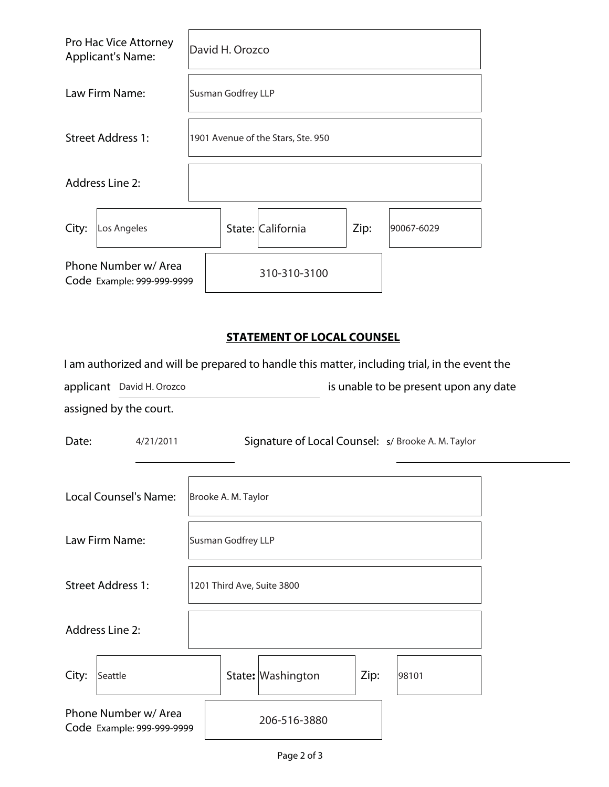|       | Pro Hac Vice Attorney<br><b>Applicant's Name:</b>  | David H. Orozco                    |  |                   |      |            |  |  |
|-------|----------------------------------------------------|------------------------------------|--|-------------------|------|------------|--|--|
|       | Law Firm Name:                                     | Susman Godfrey LLP                 |  |                   |      |            |  |  |
|       | <b>Street Address 1:</b>                           | 1901 Avenue of the Stars, Ste. 950 |  |                   |      |            |  |  |
|       | <b>Address Line 2:</b>                             |                                    |  |                   |      |            |  |  |
| City: | Los Angeles                                        |                                    |  | State: California | Zip: | 90067-6029 |  |  |
|       | Phone Number w/ Area<br>Code Example: 999-999-9999 |                                    |  | 310-310-3100      |      |            |  |  |

## **STATEMENT OF LOCAL COUNSEL**

| I am authorized and will be prepared to handle this matter, including trial, in the event the |                                                    |  |  |  |  |  |  |
|-----------------------------------------------------------------------------------------------|----------------------------------------------------|--|--|--|--|--|--|
| applicant David H. Orozco                                                                     | is unable to be present upon any date              |  |  |  |  |  |  |
| assigned by the court.                                                                        |                                                    |  |  |  |  |  |  |
| Date:<br>4/21/2011                                                                            | Signature of Local Counsel: s/ Brooke A. M. Taylor |  |  |  |  |  |  |
| <b>Local Counsel's Name:</b>                                                                  | Brooke A. M. Taylor                                |  |  |  |  |  |  |
| Law Firm Name:                                                                                | Susman Godfrey LLP                                 |  |  |  |  |  |  |
| <b>Street Address 1:</b>                                                                      | 1201 Third Ave, Suite 3800                         |  |  |  |  |  |  |
| <b>Address Line 2:</b>                                                                        |                                                    |  |  |  |  |  |  |
| City:<br>Seattle                                                                              | State: Washington<br>Zip:<br>98101                 |  |  |  |  |  |  |
| Phone Number w/ Area<br>Code Example: 999-999-9999                                            | 206-516-3880                                       |  |  |  |  |  |  |